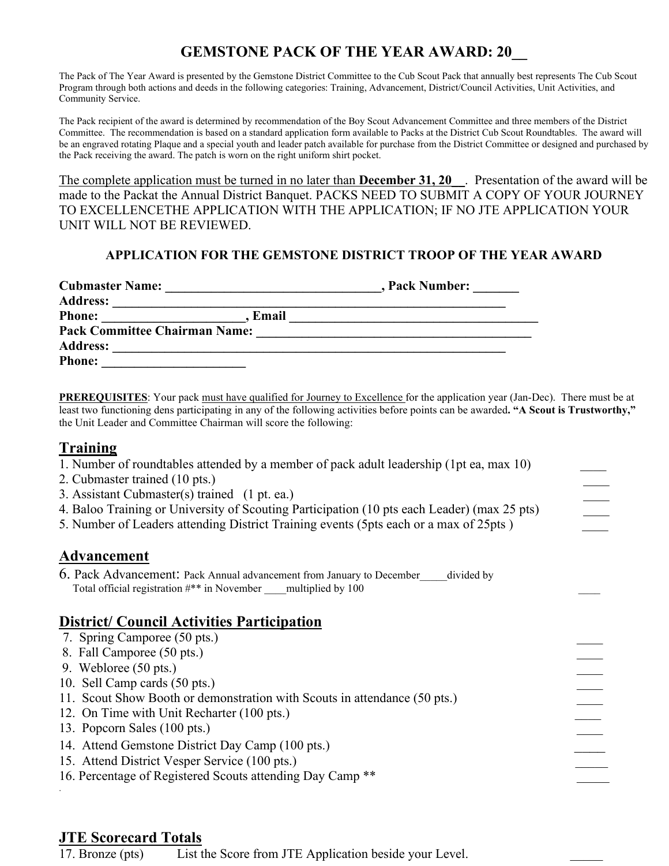## **GEMSTONE PACK OF THE YEAR AWARD: 20\_\_**

The Pack of The Year Award is presented by the Gemstone District Committee to the Cub Scout Pack that annually best represents The Cub Scout Program through both actions and deeds in the following categories: Training, Advancement, District/Council Activities, Unit Activities, and Community Service.

The Pack recipient of the award is determined by recommendation of the Boy Scout Advancement Committee and three members of the District Committee. The recommendation is based on a standard application form available to Packs at the District Cub Scout Roundtables. The award will be an engraved rotating Plaque and a special youth and leader patch available for purchase from the District Committee or designed and purchased by the Pack receiving the award. The patch is worn on the right uniform shirt pocket.

The complete application must be turned in no later than **December 31, 20\_\_**. Presentation of the award will be made to the Packat the Annual District Banquet. PACKS NEED TO SUBMIT A COPY OF YOUR JOURNEY TO EXCELLENCETHE APPLICATION WITH THE APPLICATION; IF NO JTE APPLICATION YOUR UNIT WILL NOT BE REVIEWED.

#### **APPLICATION FOR THE GEMSTONE DISTRICT TROOP OF THE YEAR AWARD**

| <b>Cubmaster Name:</b>               | , Pack Number: |
|--------------------------------------|----------------|
| <b>Address:</b>                      |                |
| <b>Phone:</b><br>Email               |                |
| <b>Pack Committee Chairman Name:</b> |                |
| <b>Address:</b>                      |                |
| <b>Phone:</b>                        |                |

**PREREQUISITES**: Your pack must have qualified for Journey to Excellence for the application year (Jan-Dec). There must be at least two functioning dens participating in any of the following activities before points can be awarded**. "A Scout is Trustworthy,"** the Unit Leader and Committee Chairman will score the following:

### **Training**

| 1. Number of roundtables attended by a member of pack adult leadership (1pt ea, max 10)     |  |
|---------------------------------------------------------------------------------------------|--|
| 2. Cubmaster trained (10 pts.)                                                              |  |
| 3. Assistant Cubmaster(s) trained (1 pt. ea.)                                               |  |
| 4. Baloo Training or University of Scouting Participation (10 pts each Leader) (max 25 pts) |  |
| 5. Number of Leaders attending District Training events (5pts each or a max of 25pts)       |  |
| <b>Advancement</b>                                                                          |  |
| 6. Pack Advancement: Pack Annual advancement from January to December<br>divided by         |  |
| Total official registration #** in November multiplied by 100                               |  |
| <b>District/Council Activities Participation</b>                                            |  |
| 7. Spring Camporee (50 pts.)                                                                |  |
| 8. Fall Camporee (50 pts.)                                                                  |  |
| 9. Webloree $(50 \text{ pts.})$                                                             |  |
| 10. Sell Camp cards (50 pts.)                                                               |  |
| 11. Scout Show Booth or demonstration with Scouts in attendance (50 pts.)                   |  |
| 12. On Time with Unit Recharter (100 pts.)                                                  |  |
| 13. Popcorn Sales (100 pts.)                                                                |  |
| 14. Attend Gemstone District Day Camp (100 pts.)                                            |  |
| 15. Attend District Vesper Service (100 pts.)                                               |  |
| 16. Percentage of Registered Scouts attending Day Camp **                                   |  |
|                                                                                             |  |

## **JTE Scorecard Totals**

17. Bronze (pts) List the Score from JTE Application beside your Level.